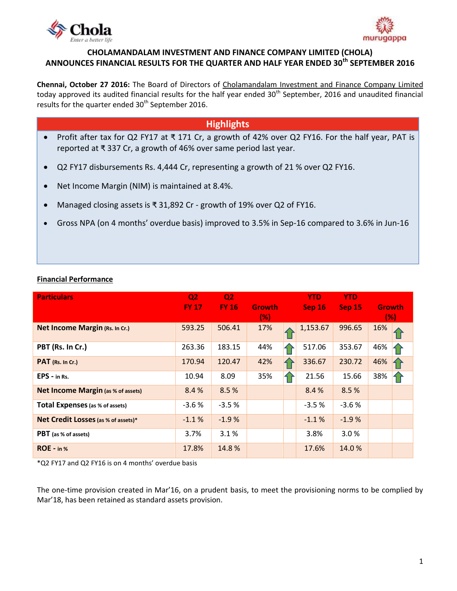



## **CHOLAMANDALAM INVESTMENT AND FINANCE COMPANY LIMITED (CHOLA) ANNOUNCES FINANCIAL RESULTS FOR THE QUARTER AND HALF YEAR ENDED 30th SEPTEMBER 2016**

**Chennai, October 27 2016:** The Board of Directors of [Cholamandalam Investment and Finance Company Limited](http://www.cholamandalam.com/) today approved its audited financial results for the half year ended 30<sup>th</sup> September, 2016 and unaudited financial results for the quarter ended 30<sup>th</sup> September 2016.

# **Highlights**

- Profit after tax for Q2 FY17 at ₹ 171 Cr, a growth of 42% over Q2 FY16. For the half year, PAT is reported at ₹ 337 Cr, a growth of 46% over same period last year.
- Q2 FY17 disbursements Rs. 4,444 Cr, representing a growth of 21 % over Q2 FY16.
- Net Income Margin (NIM) is maintained at 8.4%.
- Managed closing assets is ₹ 31,892 Cr growth of 19% over Q2 of FY16.
- Gross NPA (on 4 months' overdue basis) improved to 3.5% in Sep-16 compared to 3.6% in Jun-16

## **Financial Performance**

| <b>Particulars</b>                        | Q <sub>2</sub><br><b>FY 17</b> | Q <sub>2</sub><br><b>FY 16</b> | <b>Growth</b><br>(% ) | <b>YTD</b><br>Sep 16 | <b>YTD</b><br><b>Sep 15</b> | <b>Growth</b><br>(% ) |  |
|-------------------------------------------|--------------------------------|--------------------------------|-----------------------|----------------------|-----------------------------|-----------------------|--|
| <b>Net Income Margin (Rs. In Cr.)</b>     | 593.25                         | 506.41                         | 17%                   | 1,153.67             | 996.65                      | 16%                   |  |
| PBT (Rs. In Cr.)                          | 263.36                         | 183.15                         | 44%                   | 517.06               | 353.67                      | 46%                   |  |
| PAT (Rs. In Cr.)                          | 170.94                         | 120.47                         | 42%                   | 336.67               | 230.72                      | 46%                   |  |
| $EPS - in Rs.$                            | 10.94                          | 8.09                           | 35%                   | 21.56                | 15.66                       | 38%                   |  |
| <b>Net Income Margin (as % of assets)</b> | 8.4%                           | 8.5%                           |                       | 8.4%                 | 8.5%                        |                       |  |
| <b>Total Expenses</b> (as % of assets)    | $-3.6%$                        | $-3.5%$                        |                       | $-3.5%$              | $-3.6%$                     |                       |  |
| Net Credit Losses (as % of assets)*       | $-1.1%$                        | $-1.9%$                        |                       | $-1.1%$              | $-1.9%$                     |                       |  |
| <b>PBT</b> (as % of assets)               | 3.7%                           | 3.1%                           |                       | 3.8%                 | 3.0%                        |                       |  |
| ROE - in %                                | 17.8%                          | 14.8%                          |                       | 17.6%                | 14.0%                       |                       |  |

\*Q2 FY17 and Q2 FY16 is on 4 months' overdue basis

The one-time provision created in Mar'16, on a prudent basis, to meet the provisioning norms to be complied by Mar'18, has been retained as standard assets provision.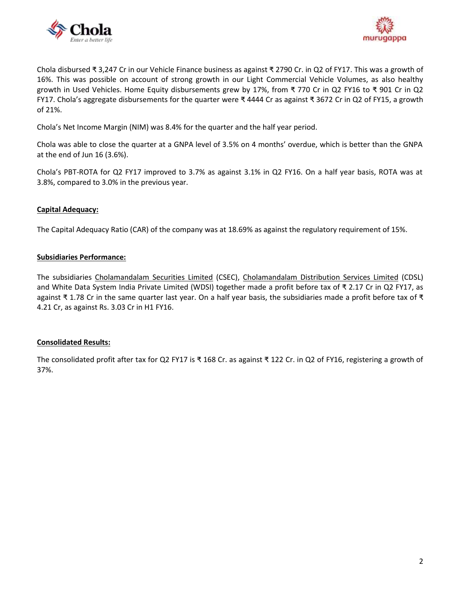



Chola disbursed ₹ 3,247 Cr in our Vehicle Finance business as against ₹ 2790 Cr. in Q2 of FY17. This was a growth of 16%. This was possible on account of strong growth in our Light Commercial Vehicle Volumes, as also healthy growth in Used Vehicles. Home Equity disbursements grew by 17%, from ₹ 770 Cr in Q2 FY16 to ₹ 901 Cr in Q2 FY17. Chola's aggregate disbursements for the quarter were ₹ 4444 Cr as against ₹ 3672 Cr in Q2 of FY15, a growth of 21%.

Chola's Net Income Margin (NIM) was 8.4% for the quarter and the half year period.

Chola was able to close the quarter at a GNPA level of 3.5% on 4 months' overdue, which is better than the GNPA at the end of Jun 16 (3.6%).

Chola's PBT-ROTA for Q2 FY17 improved to 3.7% as against 3.1% in Q2 FY16. On a half year basis, ROTA was at 3.8%, compared to 3.0% in the previous year.

#### **Capital Adequacy:**

The Capital Adequacy Ratio (CAR) of the company was at 18.69% as against the regulatory requirement of 15%.

#### **Subsidiaries Performance:**

The subsidiaries [Cholamandalam Securities Limited](http://www.cholawealthdirect.com/) (CSEC), [Cholamandalam Distribution Services Limited](http://www.cholawealthdirect.com/) (CDSL) and White Data System India Private Limited (WDSI) together made a profit before tax of ₹ 2.17 Cr in Q2 FY17, as against ₹ 1.78 Cr in the same quarter last year. On a half year basis, the subsidiaries made a profit before tax of ₹ 4.21 Cr, as against Rs. 3.03 Cr in H1 FY16.

#### **Consolidated Results:**

The consolidated profit after tax for Q2 FY17 is ₹ 168 Cr. as against ₹ 122 Cr. in Q2 of FY16, registering a growth of 37%.